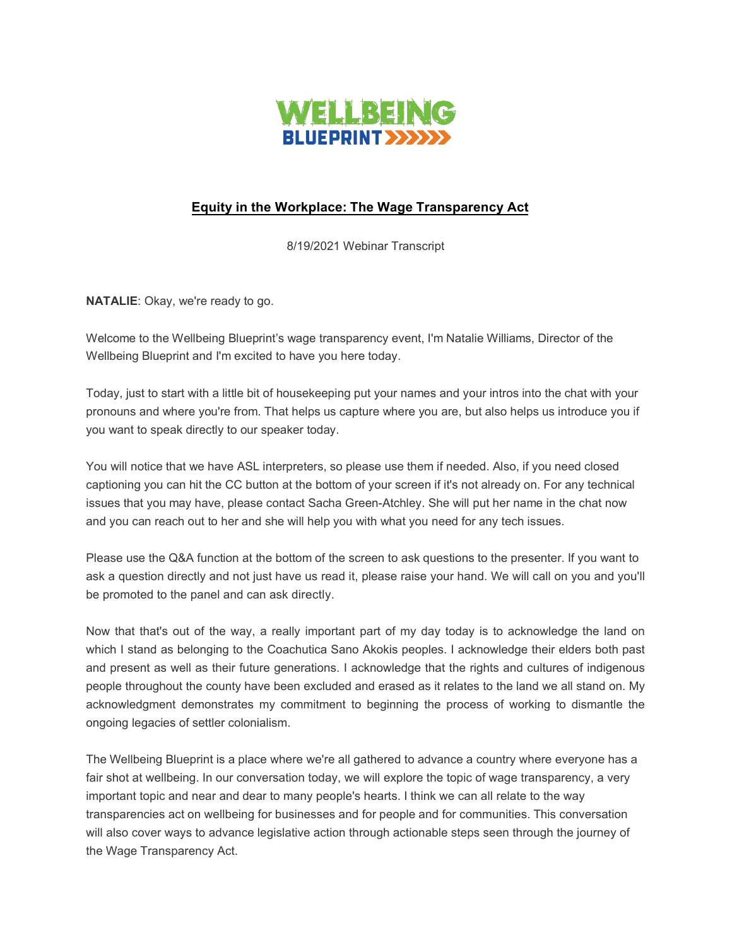

## **Equity in the Workplace: The Wage Transparency Act**

8/19/2021 Webinar Transcript

**NATALIE**: Okay, we're ready to go.

Welcome to the Wellbeing Blueprint's wage transparency event, I'm Natalie Williams, Director of the Wellbeing Blueprint and I'm excited to have you here today.

Today, just to start with a little bit of housekeeping put your names and your intros into the chat with your pronouns and where you're from. That helps us capture where you are, but also helps us introduce you if you want to speak directly to our speaker today.

You will notice that we have ASL interpreters, so please use them if needed. Also, if you need closed captioning you can hit the CC button at the bottom of your screen if it's not already on. For any technical issues that you may have, please contact Sacha Green-Atchley. She will put her name in the chat now and you can reach out to her and she will help you with what you need for any tech issues.

Please use the Q&A function at the bottom of the screen to ask questions to the presenter. If you want to ask a question directly and not just have us read it, please raise your hand. We will call on you and you'll be promoted to the panel and can ask directly.

Now that that's out of the way, a really important part of my day today is to acknowledge the land on which I stand as belonging to the Coachutica Sano Akokis peoples. I acknowledge their elders both past and present as well as their future generations. I acknowledge that the rights and cultures of indigenous people throughout the county have been excluded and erased as it relates to the land we all stand on. My acknowledgment demonstrates my commitment to beginning the process of working to dismantle the ongoing legacies of settler colonialism.

The Wellbeing Blueprint is a place where we're all gathered to advance a country where everyone has a fair shot at wellbeing. In our conversation today, we will explore the topic of wage transparency, a very important topic and near and dear to many people's hearts. I think we can all relate to the way transparencies act on wellbeing for businesses and for people and for communities. This conversation will also cover ways to advance legislative action through actionable steps seen through the journey of the Wage Transparency Act.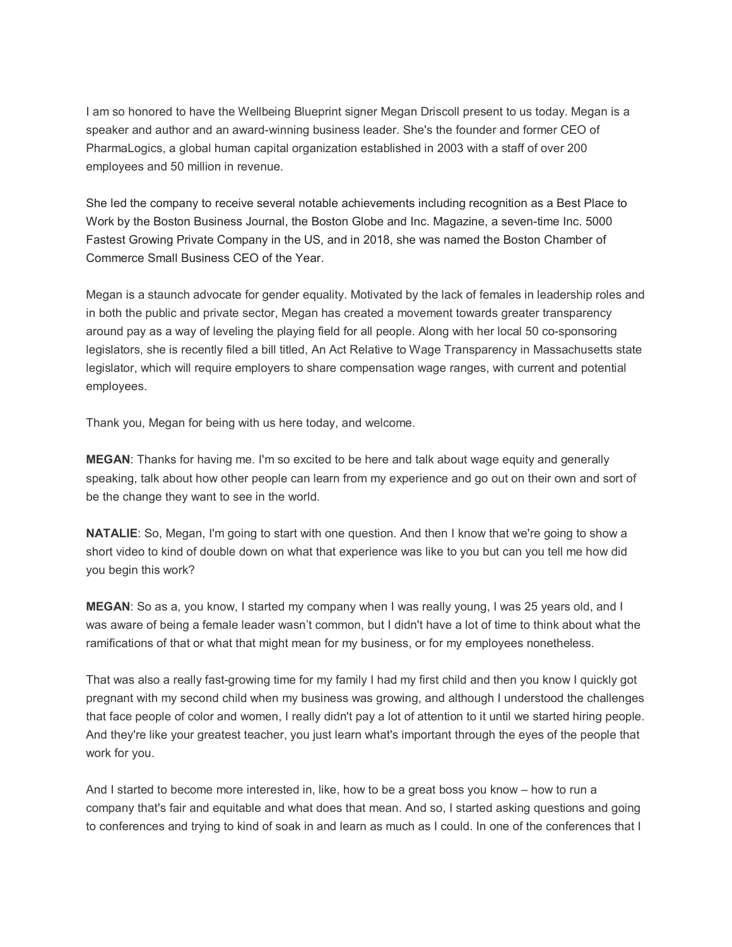I am so honored to have the Wellbeing Blueprint signer Megan Driscoll present to us today. Megan is a speaker and author and an award-winning business leader. She's the founder and former CEO of PharmaLogics, a global human capital organization established in 2003 with a staff of over 200 employees and 50 million in revenue.

She led the company to receive several notable achievements including recognition as a Best Place to Work by the Boston Business Journal, the Boston Globe and Inc. Magazine, a seven-time Inc. 5000 Fastest Growing Private Company in the US, and in 2018, she was named the Boston Chamber of Commerce Small Business CEO of the Year.

Megan is a staunch advocate for gender equality. Motivated by the lack of females in leadership roles and in both the public and private sector, Megan has created a movement towards greater transparency around pay as a way of leveling the playing field for all people. Along with her local 50 co-sponsoring legislators, she is recently filed a bill titled, An Act Relative to Wage Transparency in Massachusetts state legislator, which will require employers to share compensation wage ranges, with current and potential employees.

Thank you, Megan for being with us here today, and welcome.

**MEGAN**: Thanks for having me. I'm so excited to be here and talk about wage equity and generally speaking, talk about how other people can learn from my experience and go out on their own and sort of be the change they want to see in the world.

**NATALIE**: So, Megan, I'm going to start with one question. And then I know that we're going to show a short video to kind of double down on what that experience was like to you but can you tell me how did you begin this work?

**MEGAN**: So as a, you know, I started my company when I was really young, I was 25 years old, and I was aware of being a female leader wasn't common, but I didn't have a lot of time to think about what the ramifications of that or what that might mean for my business, or for my employees nonetheless.

That was also a really fast-growing time for my family I had my first child and then you know I quickly got pregnant with my second child when my business was growing, and although I understood the challenges that face people of color and women, I really didn't pay a lot of attention to it until we started hiring people. And they're like your greatest teacher, you just learn what's important through the eyes of the people that work for you.

And I started to become more interested in, like, how to be a great boss you know – how to run a company that's fair and equitable and what does that mean. And so, I started asking questions and going to conferences and trying to kind of soak in and learn as much as I could. In one of the conferences that I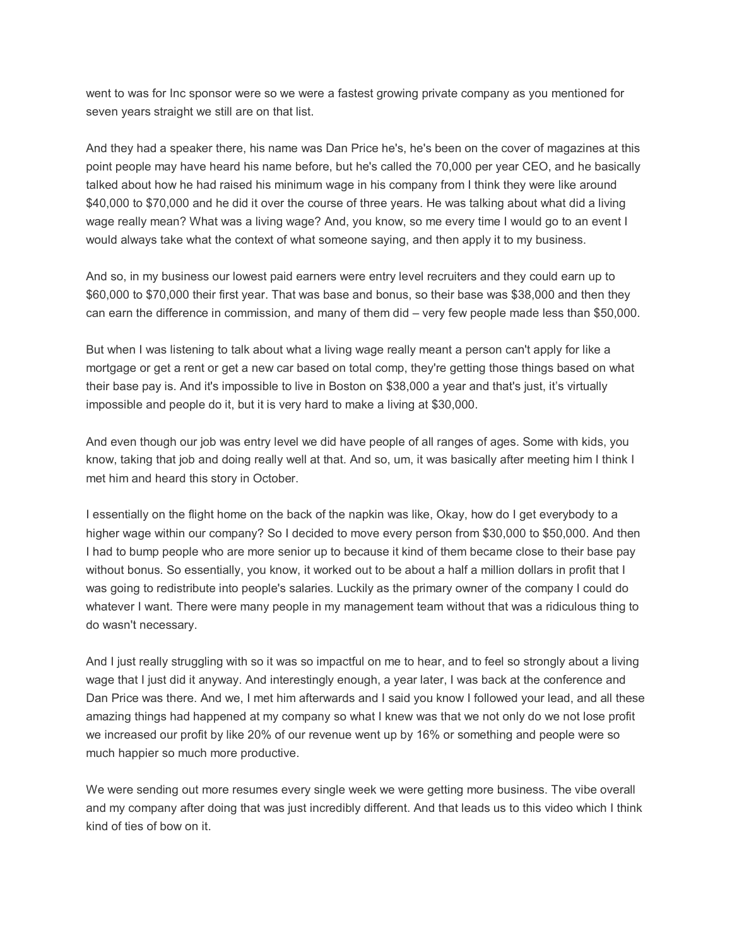went to was for Inc sponsor were so we were a fastest growing private company as you mentioned for seven years straight we still are on that list.

And they had a speaker there, his name was Dan Price he's, he's been on the cover of magazines at this point people may have heard his name before, but he's called the 70,000 per year CEO, and he basically talked about how he had raised his minimum wage in his company from I think they were like around \$40,000 to \$70,000 and he did it over the course of three years. He was talking about what did a living wage really mean? What was a living wage? And, you know, so me every time I would go to an event I would always take what the context of what someone saying, and then apply it to my business.

And so, in my business our lowest paid earners were entry level recruiters and they could earn up to \$60,000 to \$70,000 their first year. That was base and bonus, so their base was \$38,000 and then they can earn the difference in commission, and many of them did – very few people made less than \$50,000.

But when I was listening to talk about what a living wage really meant a person can't apply for like a mortgage or get a rent or get a new car based on total comp, they're getting those things based on what their base pay is. And it's impossible to live in Boston on \$38,000 a year and that's just, it's virtually impossible and people do it, but it is very hard to make a living at \$30,000.

And even though our job was entry level we did have people of all ranges of ages. Some with kids, you know, taking that job and doing really well at that. And so, um, it was basically after meeting him I think I met him and heard this story in October.

I essentially on the flight home on the back of the napkin was like, Okay, how do I get everybody to a higher wage within our company? So I decided to move every person from \$30,000 to \$50,000. And then I had to bump people who are more senior up to because it kind of them became close to their base pay without bonus. So essentially, you know, it worked out to be about a half a million dollars in profit that I was going to redistribute into people's salaries. Luckily as the primary owner of the company I could do whatever I want. There were many people in my management team without that was a ridiculous thing to do wasn't necessary.

And I just really struggling with so it was so impactful on me to hear, and to feel so strongly about a living wage that I just did it anyway. And interestingly enough, a year later, I was back at the conference and Dan Price was there. And we, I met him afterwards and I said you know I followed your lead, and all these amazing things had happened at my company so what I knew was that we not only do we not lose profit we increased our profit by like 20% of our revenue went up by 16% or something and people were so much happier so much more productive.

We were sending out more resumes every single week we were getting more business. The vibe overall and my company after doing that was just incredibly different. And that leads us to this video which I think kind of ties of bow on it.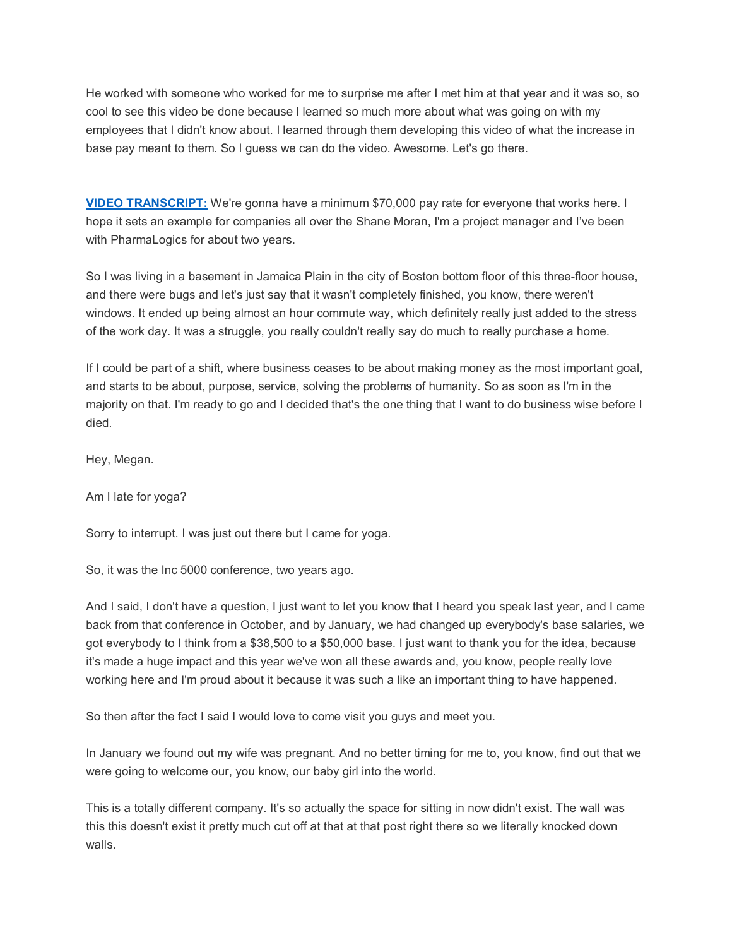He worked with someone who worked for me to surprise me after I met him at that year and it was so, so cool to see this video be done because I learned so much more about what was going on with my employees that I didn't know about. I learned through them developing this video of what the increase in base pay meant to them. So I guess we can do the video. Awesome. Let's go there.

**[VIDEO TRANSCRIPT:](https://www.youtube.com/watch?v=_otNE3Q6_fc)** We're gonna have a minimum \$70,000 pay rate for everyone that works here. I hope it sets an example for companies all over the Shane Moran, I'm a project manager and I've been with PharmaLogics for about two years.

So I was living in a basement in Jamaica Plain in the city of Boston bottom floor of this three-floor house, and there were bugs and let's just say that it wasn't completely finished, you know, there weren't windows. It ended up being almost an hour commute way, which definitely really just added to the stress of the work day. It was a struggle, you really couldn't really say do much to really purchase a home.

If I could be part of a shift, where business ceases to be about making money as the most important goal, and starts to be about, purpose, service, solving the problems of humanity. So as soon as I'm in the majority on that. I'm ready to go and I decided that's the one thing that I want to do business wise before I died.

Hey, Megan.

Am I late for yoga?

Sorry to interrupt. I was just out there but I came for yoga.

So, it was the Inc 5000 conference, two years ago.

And I said, I don't have a question, I just want to let you know that I heard you speak last year, and I came back from that conference in October, and by January, we had changed up everybody's base salaries, we got everybody to I think from a \$38,500 to a \$50,000 base. I just want to thank you for the idea, because it's made a huge impact and this year we've won all these awards and, you know, people really love working here and I'm proud about it because it was such a like an important thing to have happened.

So then after the fact I said I would love to come visit you guys and meet you.

In January we found out my wife was pregnant. And no better timing for me to, you know, find out that we were going to welcome our, you know, our baby girl into the world.

This is a totally different company. It's so actually the space for sitting in now didn't exist. The wall was this this doesn't exist it pretty much cut off at that at that post right there so we literally knocked down walls.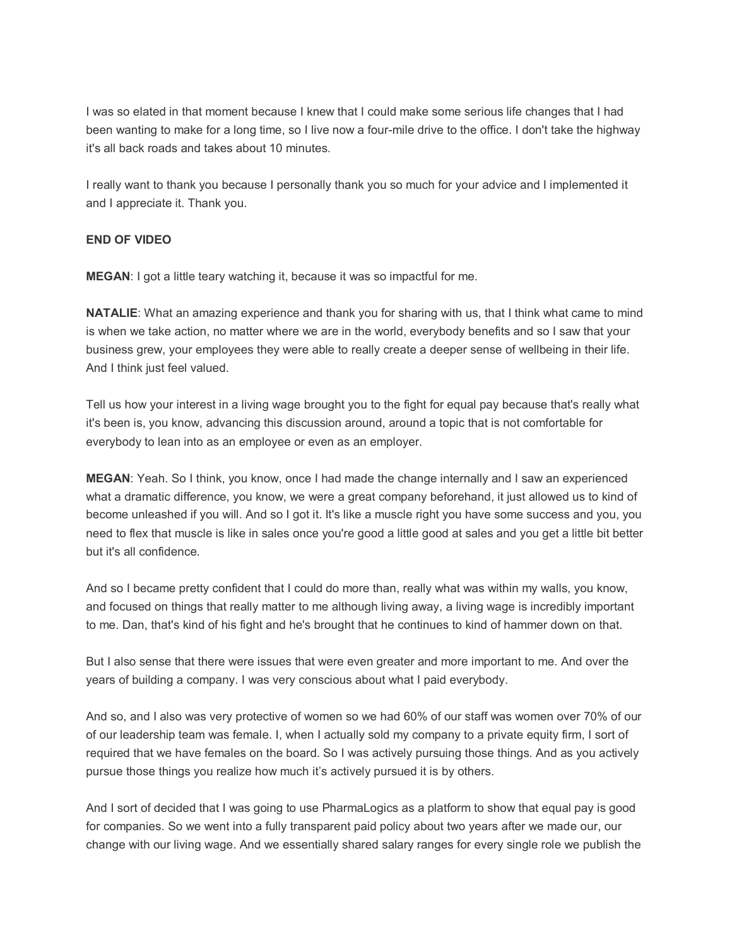I was so elated in that moment because I knew that I could make some serious life changes that I had been wanting to make for a long time, so I live now a four-mile drive to the office. I don't take the highway it's all back roads and takes about 10 minutes.

I really want to thank you because I personally thank you so much for your advice and I implemented it and I appreciate it. Thank you.

## **END OF VIDEO**

**MEGAN**: I got a little teary watching it, because it was so impactful for me.

**NATALIE**: What an amazing experience and thank you for sharing with us, that I think what came to mind is when we take action, no matter where we are in the world, everybody benefits and so I saw that your business grew, your employees they were able to really create a deeper sense of wellbeing in their life. And I think just feel valued.

Tell us how your interest in a living wage brought you to the fight for equal pay because that's really what it's been is, you know, advancing this discussion around, around a topic that is not comfortable for everybody to lean into as an employee or even as an employer.

**MEGAN**: Yeah. So I think, you know, once I had made the change internally and I saw an experienced what a dramatic difference, you know, we were a great company beforehand, it just allowed us to kind of become unleashed if you will. And so I got it. It's like a muscle right you have some success and you, you need to flex that muscle is like in sales once you're good a little good at sales and you get a little bit better but it's all confidence.

And so I became pretty confident that I could do more than, really what was within my walls, you know, and focused on things that really matter to me although living away, a living wage is incredibly important to me. Dan, that's kind of his fight and he's brought that he continues to kind of hammer down on that.

But I also sense that there were issues that were even greater and more important to me. And over the years of building a company. I was very conscious about what I paid everybody.

And so, and I also was very protective of women so we had 60% of our staff was women over 70% of our of our leadership team was female. I, when I actually sold my company to a private equity firm, I sort of required that we have females on the board. So I was actively pursuing those things. And as you actively pursue those things you realize how much it's actively pursued it is by others.

And I sort of decided that I was going to use PharmaLogics as a platform to show that equal pay is good for companies. So we went into a fully transparent paid policy about two years after we made our, our change with our living wage. And we essentially shared salary ranges for every single role we publish the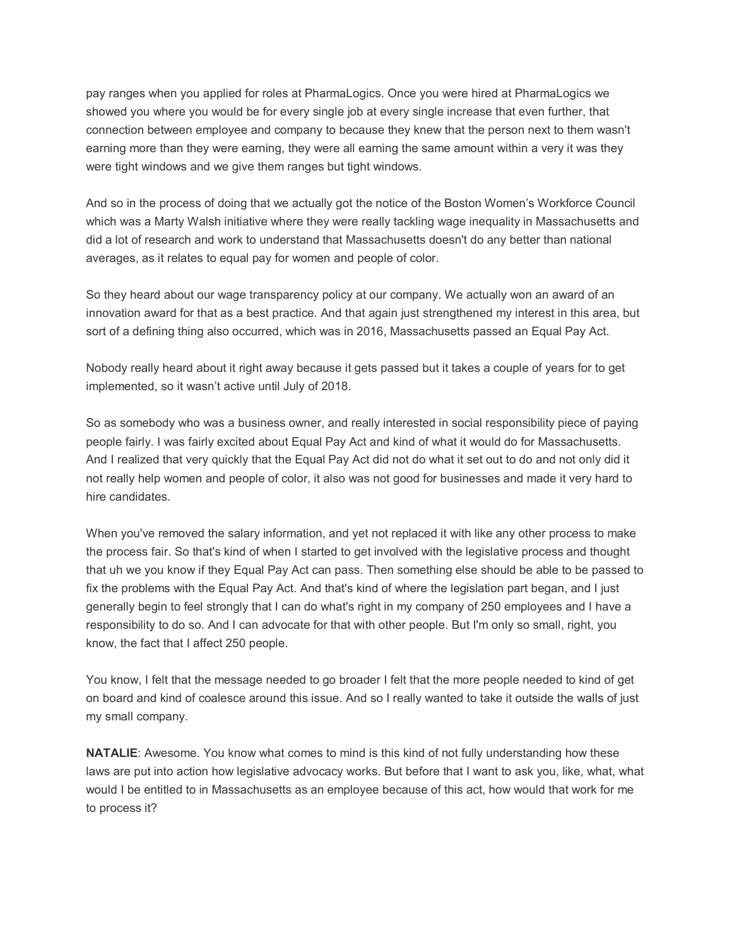pay ranges when you applied for roles at PharmaLogics. Once you were hired at PharmaLogics we showed you where you would be for every single job at every single increase that even further, that connection between employee and company to because they knew that the person next to them wasn't earning more than they were earning, they were all earning the same amount within a very it was they were tight windows and we give them ranges but tight windows.

And so in the process of doing that we actually got the notice of the Boston Women's Workforce Council which was a Marty Walsh initiative where they were really tackling wage inequality in Massachusetts and did a lot of research and work to understand that Massachusetts doesn't do any better than national averages, as it relates to equal pay for women and people of color.

So they heard about our wage transparency policy at our company. We actually won an award of an innovation award for that as a best practice. And that again just strengthened my interest in this area, but sort of a defining thing also occurred, which was in 2016, Massachusetts passed an Equal Pay Act.

Nobody really heard about it right away because it gets passed but it takes a couple of years for to get implemented, so it wasn't active until July of 2018.

So as somebody who was a business owner, and really interested in social responsibility piece of paying people fairly. I was fairly excited about Equal Pay Act and kind of what it would do for Massachusetts. And I realized that very quickly that the Equal Pay Act did not do what it set out to do and not only did it not really help women and people of color, it also was not good for businesses and made it very hard to hire candidates.

When you've removed the salary information, and yet not replaced it with like any other process to make the process fair. So that's kind of when I started to get involved with the legislative process and thought that uh we you know if they Equal Pay Act can pass. Then something else should be able to be passed to fix the problems with the Equal Pay Act. And that's kind of where the legislation part began, and I just generally begin to feel strongly that I can do what's right in my company of 250 employees and I have a responsibility to do so. And I can advocate for that with other people. But I'm only so small, right, you know, the fact that I affect 250 people.

You know, I felt that the message needed to go broader I felt that the more people needed to kind of get on board and kind of coalesce around this issue. And so I really wanted to take it outside the walls of just my small company.

**NATALIE**: Awesome. You know what comes to mind is this kind of not fully understanding how these laws are put into action how legislative advocacy works. But before that I want to ask you, like, what, what would I be entitled to in Massachusetts as an employee because of this act, how would that work for me to process it?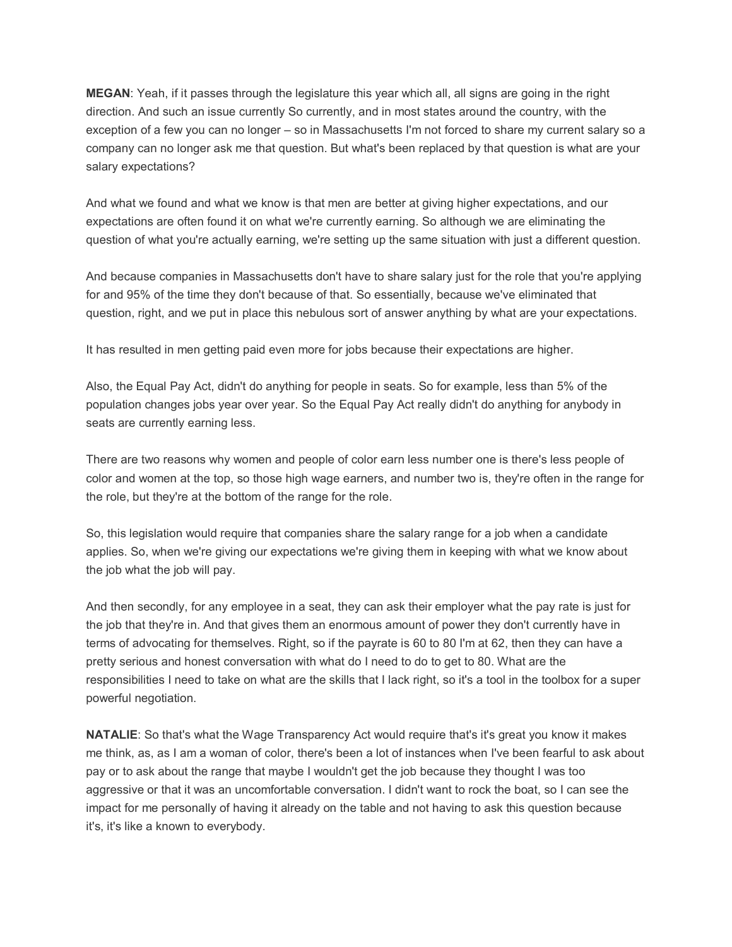**MEGAN**: Yeah, if it passes through the legislature this year which all, all signs are going in the right direction. And such an issue currently So currently, and in most states around the country, with the exception of a few you can no longer – so in Massachusetts I'm not forced to share my current salary so a company can no longer ask me that question. But what's been replaced by that question is what are your salary expectations?

And what we found and what we know is that men are better at giving higher expectations, and our expectations are often found it on what we're currently earning. So although we are eliminating the question of what you're actually earning, we're setting up the same situation with just a different question.

And because companies in Massachusetts don't have to share salary just for the role that you're applying for and 95% of the time they don't because of that. So essentially, because we've eliminated that question, right, and we put in place this nebulous sort of answer anything by what are your expectations.

It has resulted in men getting paid even more for jobs because their expectations are higher.

Also, the Equal Pay Act, didn't do anything for people in seats. So for example, less than 5% of the population changes jobs year over year. So the Equal Pay Act really didn't do anything for anybody in seats are currently earning less.

There are two reasons why women and people of color earn less number one is there's less people of color and women at the top, so those high wage earners, and number two is, they're often in the range for the role, but they're at the bottom of the range for the role.

So, this legislation would require that companies share the salary range for a job when a candidate applies. So, when we're giving our expectations we're giving them in keeping with what we know about the job what the job will pay.

And then secondly, for any employee in a seat, they can ask their employer what the pay rate is just for the job that they're in. And that gives them an enormous amount of power they don't currently have in terms of advocating for themselves. Right, so if the payrate is 60 to 80 I'm at 62, then they can have a pretty serious and honest conversation with what do I need to do to get to 80. What are the responsibilities I need to take on what are the skills that I lack right, so it's a tool in the toolbox for a super powerful negotiation.

**NATALIE**: So that's what the Wage Transparency Act would require that's it's great you know it makes me think, as, as I am a woman of color, there's been a lot of instances when I've been fearful to ask about pay or to ask about the range that maybe I wouldn't get the job because they thought I was too aggressive or that it was an uncomfortable conversation. I didn't want to rock the boat, so I can see the impact for me personally of having it already on the table and not having to ask this question because it's, it's like a known to everybody.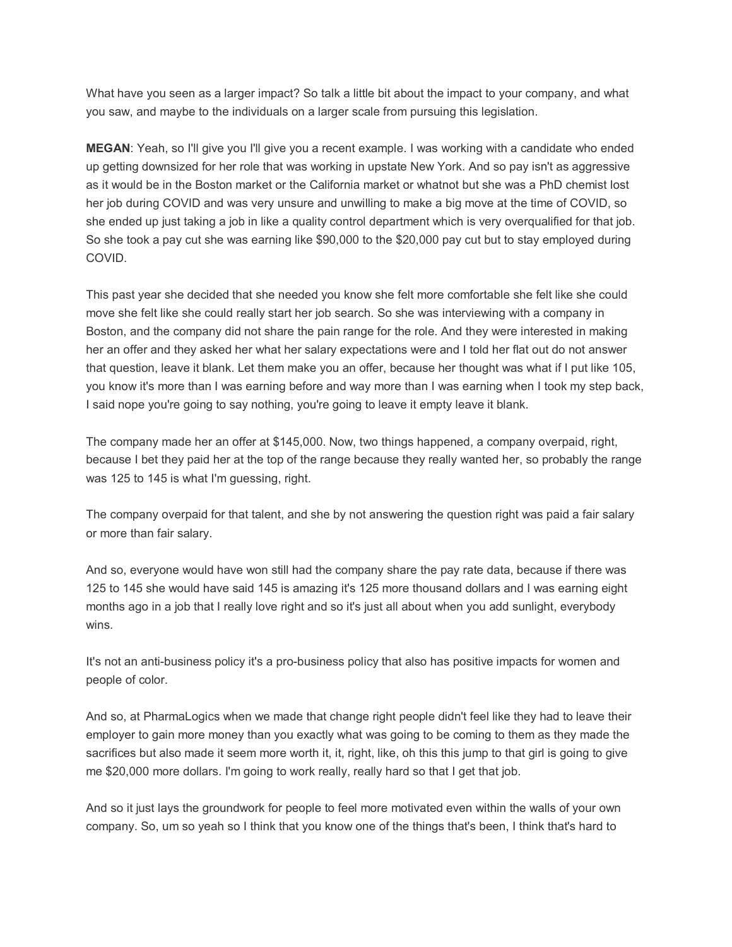What have you seen as a larger impact? So talk a little bit about the impact to your company, and what you saw, and maybe to the individuals on a larger scale from pursuing this legislation.

**MEGAN**: Yeah, so I'll give you I'll give you a recent example. I was working with a candidate who ended up getting downsized for her role that was working in upstate New York. And so pay isn't as aggressive as it would be in the Boston market or the California market or whatnot but she was a PhD chemist lost her job during COVID and was very unsure and unwilling to make a big move at the time of COVID, so she ended up just taking a job in like a quality control department which is very overqualified for that job. So she took a pay cut she was earning like \$90,000 to the \$20,000 pay cut but to stay employed during COVID.

This past year she decided that she needed you know she felt more comfortable she felt like she could move she felt like she could really start her job search. So she was interviewing with a company in Boston, and the company did not share the pain range for the role. And they were interested in making her an offer and they asked her what her salary expectations were and I told her flat out do not answer that question, leave it blank. Let them make you an offer, because her thought was what if I put like 105, you know it's more than I was earning before and way more than I was earning when I took my step back, I said nope you're going to say nothing, you're going to leave it empty leave it blank.

The company made her an offer at \$145,000. Now, two things happened, a company overpaid, right, because I bet they paid her at the top of the range because they really wanted her, so probably the range was 125 to 145 is what I'm guessing, right.

The company overpaid for that talent, and she by not answering the question right was paid a fair salary or more than fair salary.

And so, everyone would have won still had the company share the pay rate data, because if there was 125 to 145 she would have said 145 is amazing it's 125 more thousand dollars and I was earning eight months ago in a job that I really love right and so it's just all about when you add sunlight, everybody wins.

It's not an anti-business policy it's a pro-business policy that also has positive impacts for women and people of color.

And so, at PharmaLogics when we made that change right people didn't feel like they had to leave their employer to gain more money than you exactly what was going to be coming to them as they made the sacrifices but also made it seem more worth it, it, right, like, oh this this jump to that girl is going to give me \$20,000 more dollars. I'm going to work really, really hard so that I get that job.

And so it just lays the groundwork for people to feel more motivated even within the walls of your own company. So, um so yeah so I think that you know one of the things that's been, I think that's hard to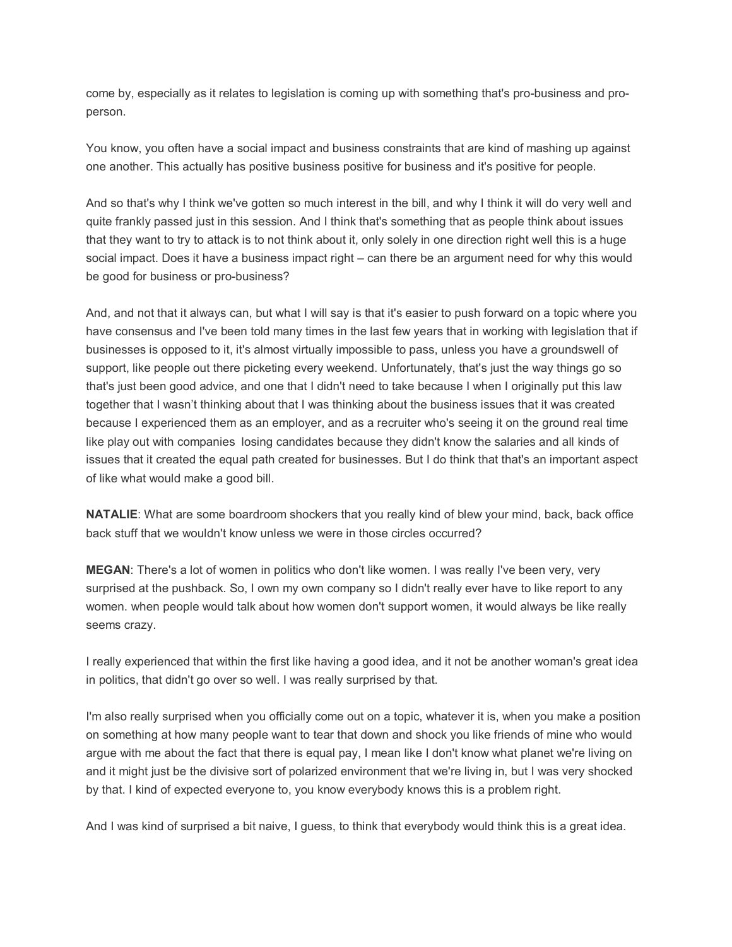come by, especially as it relates to legislation is coming up with something that's pro-business and properson.

You know, you often have a social impact and business constraints that are kind of mashing up against one another. This actually has positive business positive for business and it's positive for people.

And so that's why I think we've gotten so much interest in the bill, and why I think it will do very well and quite frankly passed just in this session. And I think that's something that as people think about issues that they want to try to attack is to not think about it, only solely in one direction right well this is a huge social impact. Does it have a business impact right – can there be an argument need for why this would be good for business or pro-business?

And, and not that it always can, but what I will say is that it's easier to push forward on a topic where you have consensus and I've been told many times in the last few years that in working with legislation that if businesses is opposed to it, it's almost virtually impossible to pass, unless you have a groundswell of support, like people out there picketing every weekend. Unfortunately, that's just the way things go so that's just been good advice, and one that I didn't need to take because I when I originally put this law together that I wasn't thinking about that I was thinking about the business issues that it was created because I experienced them as an employer, and as a recruiter who's seeing it on the ground real time like play out with companies losing candidates because they didn't know the salaries and all kinds of issues that it created the equal path created for businesses. But I do think that that's an important aspect of like what would make a good bill.

**NATALIE:** What are some boardroom shockers that you really kind of blew your mind, back, back office back stuff that we wouldn't know unless we were in those circles occurred?

**MEGAN**: There's a lot of women in politics who don't like women. I was really I've been very, very surprised at the pushback. So, I own my own company so I didn't really ever have to like report to any women. when people would talk about how women don't support women, it would always be like really seems crazy.

I really experienced that within the first like having a good idea, and it not be another woman's great idea in politics, that didn't go over so well. I was really surprised by that.

I'm also really surprised when you officially come out on a topic, whatever it is, when you make a position on something at how many people want to tear that down and shock you like friends of mine who would argue with me about the fact that there is equal pay, I mean like I don't know what planet we're living on and it might just be the divisive sort of polarized environment that we're living in, but I was very shocked by that. I kind of expected everyone to, you know everybody knows this is a problem right.

And I was kind of surprised a bit naive, I guess, to think that everybody would think this is a great idea.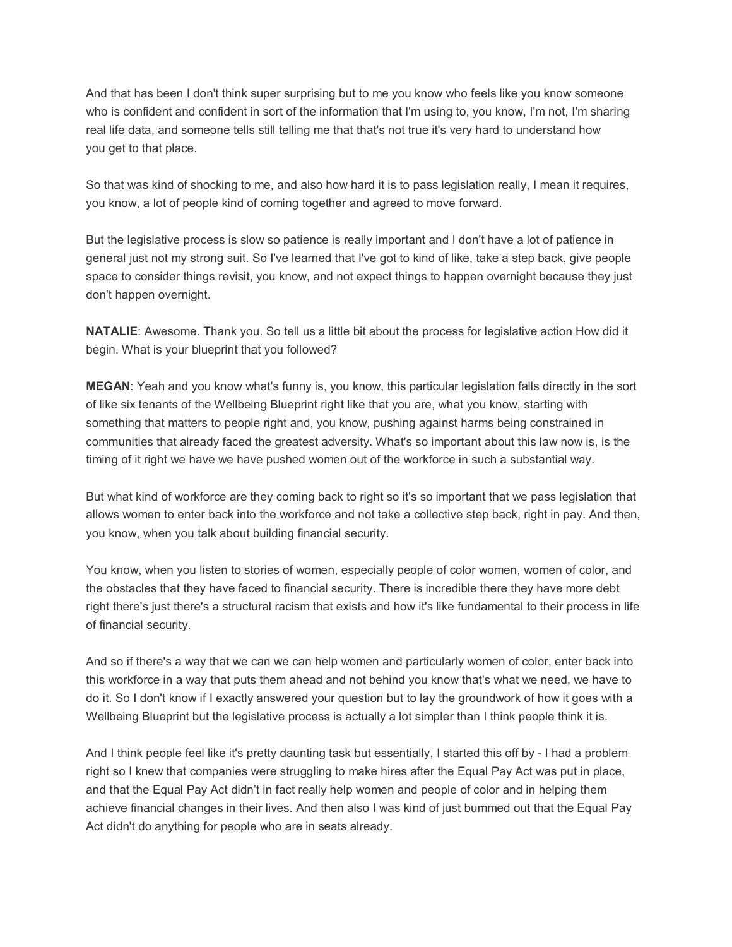And that has been I don't think super surprising but to me you know who feels like you know someone who is confident and confident in sort of the information that I'm using to, you know, I'm not, I'm sharing real life data, and someone tells still telling me that that's not true it's very hard to understand how you get to that place.

So that was kind of shocking to me, and also how hard it is to pass legislation really, I mean it requires, you know, a lot of people kind of coming together and agreed to move forward.

But the legislative process is slow so patience is really important and I don't have a lot of patience in general just not my strong suit. So I've learned that I've got to kind of like, take a step back, give people space to consider things revisit, you know, and not expect things to happen overnight because they just don't happen overnight.

**NATALIE**: Awesome. Thank you. So tell us a little bit about the process for legislative action How did it begin. What is your blueprint that you followed?

**MEGAN**: Yeah and you know what's funny is, you know, this particular legislation falls directly in the sort of like six tenants of the Wellbeing Blueprint right like that you are, what you know, starting with something that matters to people right and, you know, pushing against harms being constrained in communities that already faced the greatest adversity. What's so important about this law now is, is the timing of it right we have we have pushed women out of the workforce in such a substantial way.

But what kind of workforce are they coming back to right so it's so important that we pass legislation that allows women to enter back into the workforce and not take a collective step back, right in pay. And then, you know, when you talk about building financial security.

You know, when you listen to stories of women, especially people of color women, women of color, and the obstacles that they have faced to financial security. There is incredible there they have more debt right there's just there's a structural racism that exists and how it's like fundamental to their process in life of financial security.

And so if there's a way that we can we can help women and particularly women of color, enter back into this workforce in a way that puts them ahead and not behind you know that's what we need, we have to do it. So I don't know if I exactly answered your question but to lay the groundwork of how it goes with a Wellbeing Blueprint but the legislative process is actually a lot simpler than I think people think it is.

And I think people feel like it's pretty daunting task but essentially, I started this off by - I had a problem right so I knew that companies were struggling to make hires after the Equal Pay Act was put in place, and that the Equal Pay Act didn't in fact really help women and people of color and in helping them achieve financial changes in their lives. And then also I was kind of just bummed out that the Equal Pay Act didn't do anything for people who are in seats already.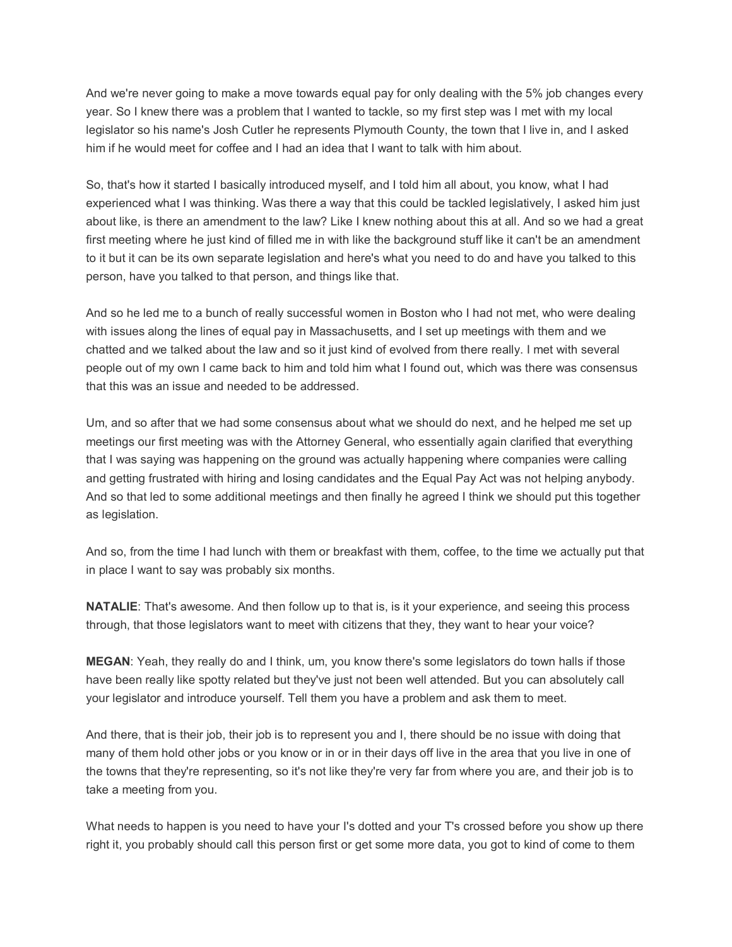And we're never going to make a move towards equal pay for only dealing with the 5% job changes every year. So I knew there was a problem that I wanted to tackle, so my first step was I met with my local legislator so his name's Josh Cutler he represents Plymouth County, the town that I live in, and I asked him if he would meet for coffee and I had an idea that I want to talk with him about.

So, that's how it started I basically introduced myself, and I told him all about, you know, what I had experienced what I was thinking. Was there a way that this could be tackled legislatively, I asked him just about like, is there an amendment to the law? Like I knew nothing about this at all. And so we had a great first meeting where he just kind of filled me in with like the background stuff like it can't be an amendment to it but it can be its own separate legislation and here's what you need to do and have you talked to this person, have you talked to that person, and things like that.

And so he led me to a bunch of really successful women in Boston who I had not met, who were dealing with issues along the lines of equal pay in Massachusetts, and I set up meetings with them and we chatted and we talked about the law and so it just kind of evolved from there really. I met with several people out of my own I came back to him and told him what I found out, which was there was consensus that this was an issue and needed to be addressed.

Um, and so after that we had some consensus about what we should do next, and he helped me set up meetings our first meeting was with the Attorney General, who essentially again clarified that everything that I was saying was happening on the ground was actually happening where companies were calling and getting frustrated with hiring and losing candidates and the Equal Pay Act was not helping anybody. And so that led to some additional meetings and then finally he agreed I think we should put this together as legislation.

And so, from the time I had lunch with them or breakfast with them, coffee, to the time we actually put that in place I want to say was probably six months.

**NATALIE**: That's awesome. And then follow up to that is, is it your experience, and seeing this process through, that those legislators want to meet with citizens that they, they want to hear your voice?

**MEGAN**: Yeah, they really do and I think, um, you know there's some legislators do town halls if those have been really like spotty related but they've just not been well attended. But you can absolutely call your legislator and introduce yourself. Tell them you have a problem and ask them to meet.

And there, that is their job, their job is to represent you and I, there should be no issue with doing that many of them hold other jobs or you know or in or in their days off live in the area that you live in one of the towns that they're representing, so it's not like they're very far from where you are, and their job is to take a meeting from you.

What needs to happen is you need to have your I's dotted and your T's crossed before you show up there right it, you probably should call this person first or get some more data, you got to kind of come to them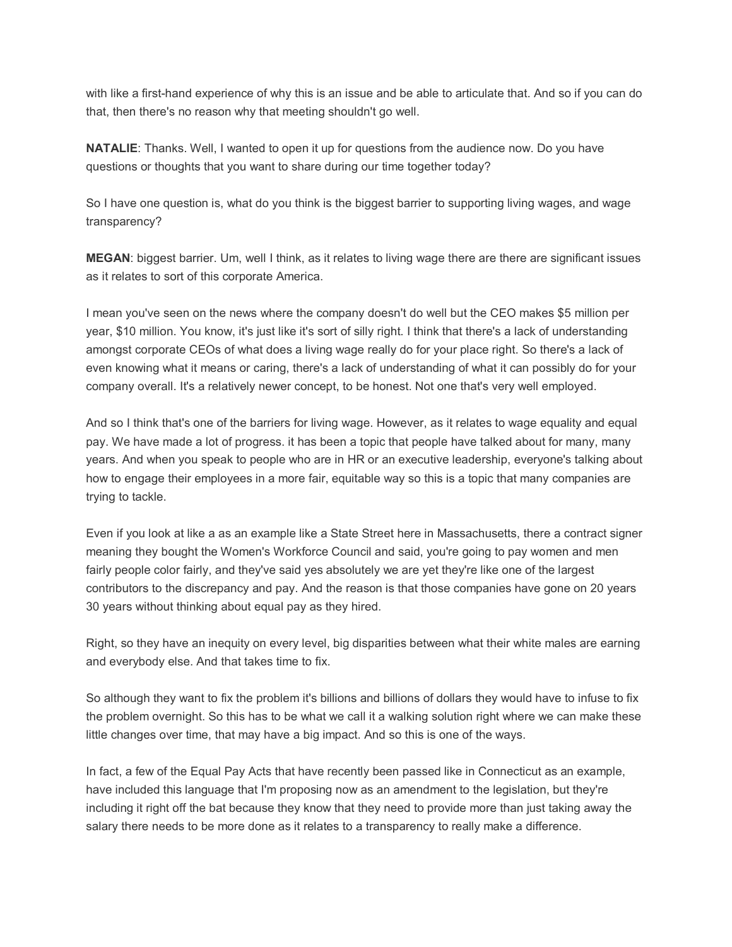with like a first-hand experience of why this is an issue and be able to articulate that. And so if you can do that, then there's no reason why that meeting shouldn't go well.

**NATALIE**: Thanks. Well, I wanted to open it up for questions from the audience now. Do you have questions or thoughts that you want to share during our time together today?

So I have one question is, what do you think is the biggest barrier to supporting living wages, and wage transparency?

**MEGAN**: biggest barrier. Um, well I think, as it relates to living wage there are there are significant issues as it relates to sort of this corporate America.

I mean you've seen on the news where the company doesn't do well but the CEO makes \$5 million per year, \$10 million. You know, it's just like it's sort of silly right. I think that there's a lack of understanding amongst corporate CEOs of what does a living wage really do for your place right. So there's a lack of even knowing what it means or caring, there's a lack of understanding of what it can possibly do for your company overall. It's a relatively newer concept, to be honest. Not one that's very well employed.

And so I think that's one of the barriers for living wage. However, as it relates to wage equality and equal pay. We have made a lot of progress. it has been a topic that people have talked about for many, many years. And when you speak to people who are in HR or an executive leadership, everyone's talking about how to engage their employees in a more fair, equitable way so this is a topic that many companies are trying to tackle.

Even if you look at like a as an example like a State Street here in Massachusetts, there a contract signer meaning they bought the Women's Workforce Council and said, you're going to pay women and men fairly people color fairly, and they've said yes absolutely we are yet they're like one of the largest contributors to the discrepancy and pay. And the reason is that those companies have gone on 20 years 30 years without thinking about equal pay as they hired.

Right, so they have an inequity on every level, big disparities between what their white males are earning and everybody else. And that takes time to fix.

So although they want to fix the problem it's billions and billions of dollars they would have to infuse to fix the problem overnight. So this has to be what we call it a walking solution right where we can make these little changes over time, that may have a big impact. And so this is one of the ways.

In fact, a few of the Equal Pay Acts that have recently been passed like in Connecticut as an example, have included this language that I'm proposing now as an amendment to the legislation, but they're including it right off the bat because they know that they need to provide more than just taking away the salary there needs to be more done as it relates to a transparency to really make a difference.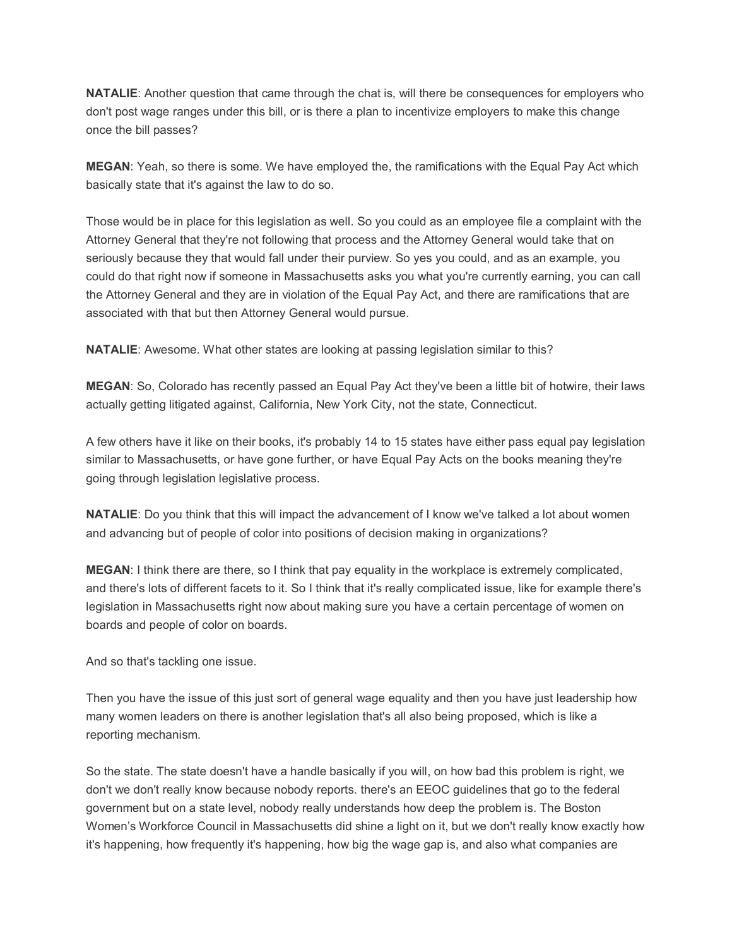**NATALIE**: Another question that came through the chat is, will there be consequences for employers who don't post wage ranges under this bill, or is there a plan to incentivize employers to make this change once the bill passes?

**MEGAN**: Yeah, so there is some. We have employed the, the ramifications with the Equal Pay Act which basically state that it's against the law to do so.

Those would be in place for this legislation as well. So you could as an employee file a complaint with the Attorney General that they're not following that process and the Attorney General would take that on seriously because they that would fall under their purview. So yes you could, and as an example, you could do that right now if someone in Massachusetts asks you what you're currently earning, you can call the Attorney General and they are in violation of the Equal Pay Act, and there are ramifications that are associated with that but then Attorney General would pursue.

**NATALIE**: Awesome. What other states are looking at passing legislation similar to this?

**MEGAN**: So, Colorado has recently passed an Equal Pay Act they've been a little bit of hotwire, their laws actually getting litigated against, California, New York City, not the state, Connecticut.

A few others have it like on their books, it's probably 14 to 15 states have either pass equal pay legislation similar to Massachusetts, or have gone further, or have Equal Pay Acts on the books meaning they're going through legislation legislative process.

**NATALIE**: Do you think that this will impact the advancement of I know we've talked a lot about women and advancing but of people of color into positions of decision making in organizations?

**MEGAN**: I think there are there, so I think that pay equality in the workplace is extremely complicated, and there's lots of different facets to it. So I think that it's really complicated issue, like for example there's legislation in Massachusetts right now about making sure you have a certain percentage of women on boards and people of color on boards.

And so that's tackling one issue.

Then you have the issue of this just sort of general wage equality and then you have just leadership how many women leaders on there is another legislation that's all also being proposed, which is like a reporting mechanism.

So the state. The state doesn't have a handle basically if you will, on how bad this problem is right, we don't we don't really know because nobody reports. there's an EEOC guidelines that go to the federal government but on a state level, nobody really understands how deep the problem is. The Boston Women's Workforce Council in Massachusetts did shine a light on it, but we don't really know exactly how it's happening, how frequently it's happening, how big the wage gap is, and also what companies are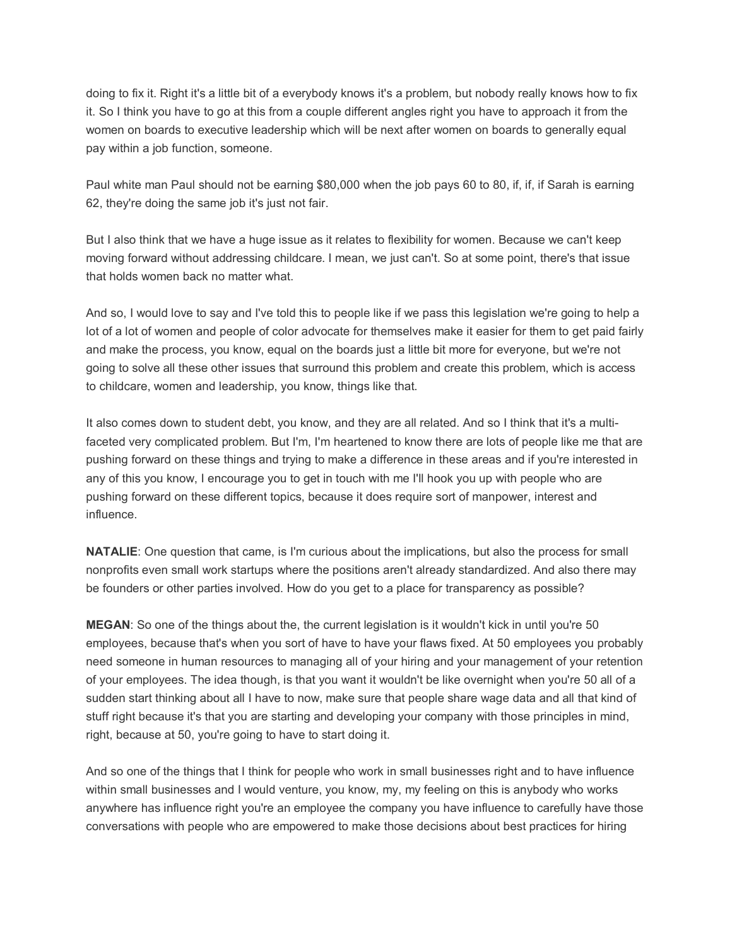doing to fix it. Right it's a little bit of a everybody knows it's a problem, but nobody really knows how to fix it. So I think you have to go at this from a couple different angles right you have to approach it from the women on boards to executive leadership which will be next after women on boards to generally equal pay within a job function, someone.

Paul white man Paul should not be earning \$80,000 when the job pays 60 to 80, if, if, if Sarah is earning 62, they're doing the same job it's just not fair.

But I also think that we have a huge issue as it relates to flexibility for women. Because we can't keep moving forward without addressing childcare. I mean, we just can't. So at some point, there's that issue that holds women back no matter what.

And so, I would love to say and I've told this to people like if we pass this legislation we're going to help a lot of a lot of women and people of color advocate for themselves make it easier for them to get paid fairly and make the process, you know, equal on the boards just a little bit more for everyone, but we're not going to solve all these other issues that surround this problem and create this problem, which is access to childcare, women and leadership, you know, things like that.

It also comes down to student debt, you know, and they are all related. And so I think that it's a multifaceted very complicated problem. But I'm, I'm heartened to know there are lots of people like me that are pushing forward on these things and trying to make a difference in these areas and if you're interested in any of this you know, I encourage you to get in touch with me I'll hook you up with people who are pushing forward on these different topics, because it does require sort of manpower, interest and influence.

**NATALIE**: One question that came, is I'm curious about the implications, but also the process for small nonprofits even small work startups where the positions aren't already standardized. And also there may be founders or other parties involved. How do you get to a place for transparency as possible?

**MEGAN**: So one of the things about the, the current legislation is it wouldn't kick in until you're 50 employees, because that's when you sort of have to have your flaws fixed. At 50 employees you probably need someone in human resources to managing all of your hiring and your management of your retention of your employees. The idea though, is that you want it wouldn't be like overnight when you're 50 all of a sudden start thinking about all I have to now, make sure that people share wage data and all that kind of stuff right because it's that you are starting and developing your company with those principles in mind, right, because at 50, you're going to have to start doing it.

And so one of the things that I think for people who work in small businesses right and to have influence within small businesses and I would venture, you know, my, my feeling on this is anybody who works anywhere has influence right you're an employee the company you have influence to carefully have those conversations with people who are empowered to make those decisions about best practices for hiring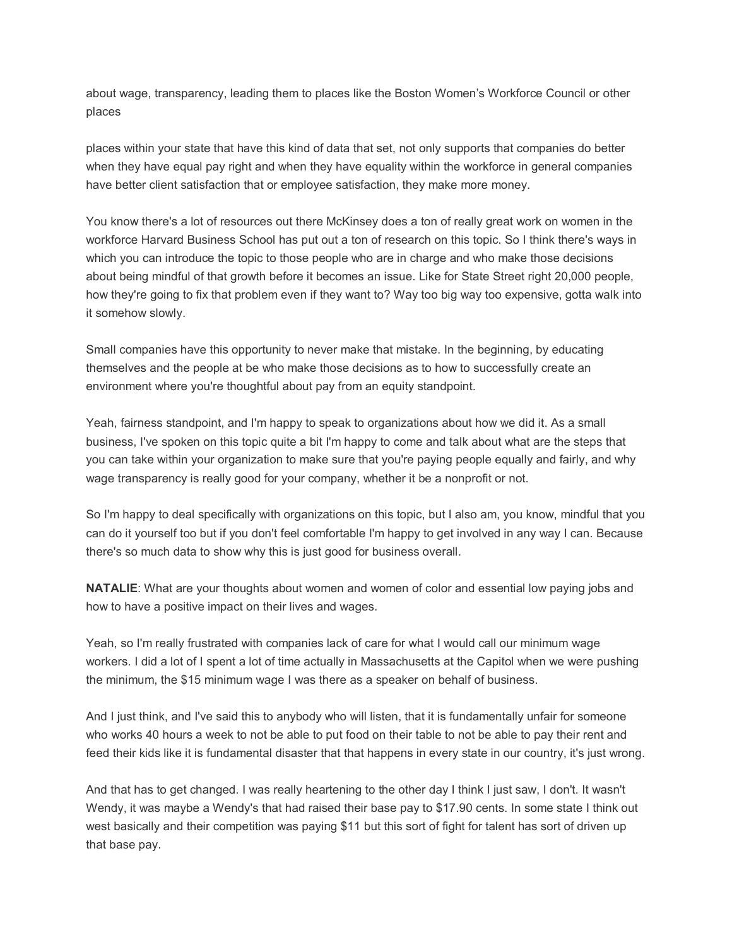about wage, transparency, leading them to places like the Boston Women's Workforce Council or other places

places within your state that have this kind of data that set, not only supports that companies do better when they have equal pay right and when they have equality within the workforce in general companies have better client satisfaction that or employee satisfaction, they make more money.

You know there's a lot of resources out there McKinsey does a ton of really great work on women in the workforce Harvard Business School has put out a ton of research on this topic. So I think there's ways in which you can introduce the topic to those people who are in charge and who make those decisions about being mindful of that growth before it becomes an issue. Like for State Street right 20,000 people, how they're going to fix that problem even if they want to? Way too big way too expensive, gotta walk into it somehow slowly.

Small companies have this opportunity to never make that mistake. In the beginning, by educating themselves and the people at be who make those decisions as to how to successfully create an environment where you're thoughtful about pay from an equity standpoint.

Yeah, fairness standpoint, and I'm happy to speak to organizations about how we did it. As a small business, I've spoken on this topic quite a bit I'm happy to come and talk about what are the steps that you can take within your organization to make sure that you're paying people equally and fairly, and why wage transparency is really good for your company, whether it be a nonprofit or not.

So I'm happy to deal specifically with organizations on this topic, but I also am, you know, mindful that you can do it yourself too but if you don't feel comfortable I'm happy to get involved in any way I can. Because there's so much data to show why this is just good for business overall.

**NATALIE**: What are your thoughts about women and women of color and essential low paying jobs and how to have a positive impact on their lives and wages.

Yeah, so I'm really frustrated with companies lack of care for what I would call our minimum wage workers. I did a lot of I spent a lot of time actually in Massachusetts at the Capitol when we were pushing the minimum, the \$15 minimum wage I was there as a speaker on behalf of business.

And I just think, and I've said this to anybody who will listen, that it is fundamentally unfair for someone who works 40 hours a week to not be able to put food on their table to not be able to pay their rent and feed their kids like it is fundamental disaster that that happens in every state in our country, it's just wrong.

And that has to get changed. I was really heartening to the other day I think I just saw, I don't. It wasn't Wendy, it was maybe a Wendy's that had raised their base pay to \$17.90 cents. In some state I think out west basically and their competition was paying \$11 but this sort of fight for talent has sort of driven up that base pay.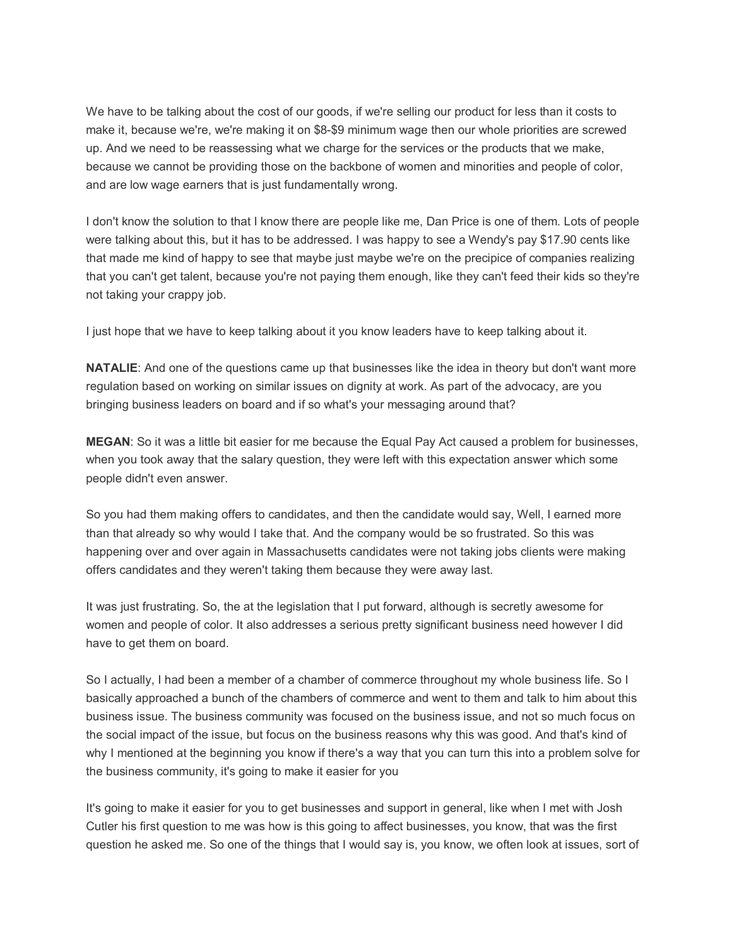We have to be talking about the cost of our goods, if we're selling our product for less than it costs to make it, because we're, we're making it on \$8-\$9 minimum wage then our whole priorities are screwed up. And we need to be reassessing what we charge for the services or the products that we make, because we cannot be providing those on the backbone of women and minorities and people of color, and are low wage earners that is just fundamentally wrong.

I don't know the solution to that I know there are people like me, Dan Price is one of them. Lots of people were talking about this, but it has to be addressed. I was happy to see a Wendy's pay \$17.90 cents like that made me kind of happy to see that maybe just maybe we're on the precipice of companies realizing that you can't get talent, because you're not paying them enough, like they can't feed their kids so they're not taking your crappy job.

I just hope that we have to keep talking about it you know leaders have to keep talking about it.

**NATALIE**: And one of the questions came up that businesses like the idea in theory but don't want more regulation based on working on similar issues on dignity at work. As part of the advocacy, are you bringing business leaders on board and if so what's your messaging around that?

**MEGAN**: So it was a little bit easier for me because the Equal Pay Act caused a problem for businesses, when you took away that the salary question, they were left with this expectation answer which some people didn't even answer.

So you had them making offers to candidates, and then the candidate would say, Well, I earned more than that already so why would I take that. And the company would be so frustrated. So this was happening over and over again in Massachusetts candidates were not taking jobs clients were making offers candidates and they weren't taking them because they were away last.

It was just frustrating. So, the at the legislation that I put forward, although is secretly awesome for women and people of color. It also addresses a serious pretty significant business need however I did have to get them on board.

So I actually, I had been a member of a chamber of commerce throughout my whole business life. So I basically approached a bunch of the chambers of commerce and went to them and talk to him about this business issue. The business community was focused on the business issue, and not so much focus on the social impact of the issue, but focus on the business reasons why this was good. And that's kind of why I mentioned at the beginning you know if there's a way that you can turn this into a problem solve for the business community, it's going to make it easier for you

It's going to make it easier for you to get businesses and support in general, like when I met with Josh Cutler his first question to me was how is this going to affect businesses, you know, that was the first question he asked me. So one of the things that I would say is, you know, we often look at issues, sort of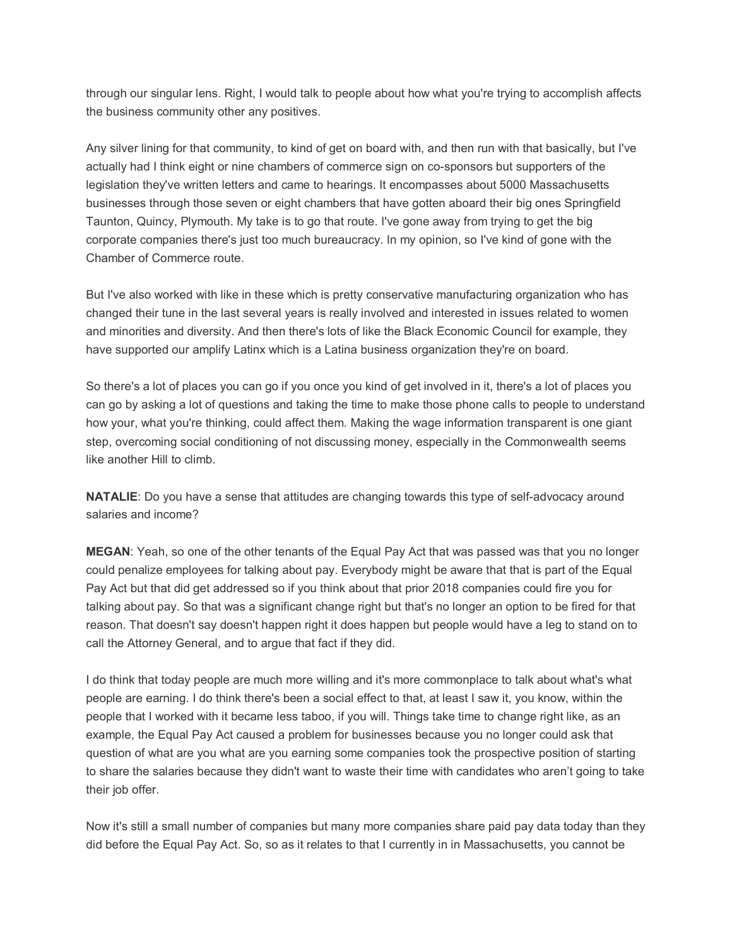through our singular lens. Right, I would talk to people about how what you're trying to accomplish affects the business community other any positives.

Any silver lining for that community, to kind of get on board with, and then run with that basically, but I've actually had I think eight or nine chambers of commerce sign on co-sponsors but supporters of the legislation they've written letters and came to hearings. It encompasses about 5000 Massachusetts businesses through those seven or eight chambers that have gotten aboard their big ones Springfield Taunton, Quincy, Plymouth. My take is to go that route. I've gone away from trying to get the big corporate companies there's just too much bureaucracy. In my opinion, so I've kind of gone with the Chamber of Commerce route.

But I've also worked with like in these which is pretty conservative manufacturing organization who has changed their tune in the last several years is really involved and interested in issues related to women and minorities and diversity. And then there's lots of like the Black Economic Council for example, they have supported our amplify Latinx which is a Latina business organization they're on board.

So there's a lot of places you can go if you once you kind of get involved in it, there's a lot of places you can go by asking a lot of questions and taking the time to make those phone calls to people to understand how your, what you're thinking, could affect them. Making the wage information transparent is one giant step, overcoming social conditioning of not discussing money, especially in the Commonwealth seems like another Hill to climb.

**NATALIE:** Do you have a sense that attitudes are changing towards this type of self-advocacy around salaries and income?

**MEGAN**: Yeah, so one of the other tenants of the Equal Pay Act that was passed was that you no longer could penalize employees for talking about pay. Everybody might be aware that that is part of the Equal Pay Act but that did get addressed so if you think about that prior 2018 companies could fire you for talking about pay. So that was a significant change right but that's no longer an option to be fired for that reason. That doesn't say doesn't happen right it does happen but people would have a leg to stand on to call the Attorney General, and to argue that fact if they did.

I do think that today people are much more willing and it's more commonplace to talk about what's what people are earning. I do think there's been a social effect to that, at least I saw it, you know, within the people that I worked with it became less taboo, if you will. Things take time to change right like, as an example, the Equal Pay Act caused a problem for businesses because you no longer could ask that question of what are you what are you earning some companies took the prospective position of starting to share the salaries because they didn't want to waste their time with candidates who aren't going to take their job offer.

Now it's still a small number of companies but many more companies share paid pay data today than they did before the Equal Pay Act. So, so as it relates to that I currently in in Massachusetts, you cannot be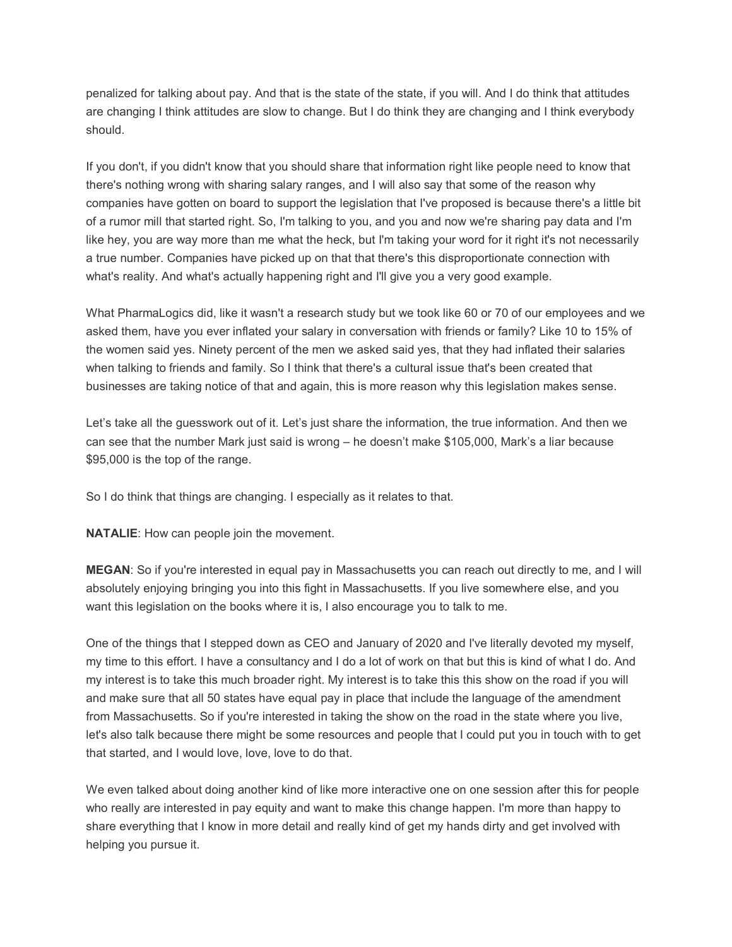penalized for talking about pay. And that is the state of the state, if you will. And I do think that attitudes are changing I think attitudes are slow to change. But I do think they are changing and I think everybody should.

If you don't, if you didn't know that you should share that information right like people need to know that there's nothing wrong with sharing salary ranges, and I will also say that some of the reason why companies have gotten on board to support the legislation that I've proposed is because there's a little bit of a rumor mill that started right. So, I'm talking to you, and you and now we're sharing pay data and I'm like hey, you are way more than me what the heck, but I'm taking your word for it right it's not necessarily a true number. Companies have picked up on that that there's this disproportionate connection with what's reality. And what's actually happening right and I'll give you a very good example.

What PharmaLogics did, like it wasn't a research study but we took like 60 or 70 of our employees and we asked them, have you ever inflated your salary in conversation with friends or family? Like 10 to 15% of the women said yes. Ninety percent of the men we asked said yes, that they had inflated their salaries when talking to friends and family. So I think that there's a cultural issue that's been created that businesses are taking notice of that and again, this is more reason why this legislation makes sense.

Let's take all the guesswork out of it. Let's just share the information, the true information. And then we can see that the number Mark just said is wrong – he doesn't make \$105,000, Mark's a liar because \$95,000 is the top of the range.

So I do think that things are changing. I especially as it relates to that.

**NATALIE**: How can people join the movement.

**MEGAN**: So if you're interested in equal pay in Massachusetts you can reach out directly to me, and I will absolutely enjoying bringing you into this fight in Massachusetts. If you live somewhere else, and you want this legislation on the books where it is, I also encourage you to talk to me.

One of the things that I stepped down as CEO and January of 2020 and I've literally devoted my myself, my time to this effort. I have a consultancy and I do a lot of work on that but this is kind of what I do. And my interest is to take this much broader right. My interest is to take this this show on the road if you will and make sure that all 50 states have equal pay in place that include the language of the amendment from Massachusetts. So if you're interested in taking the show on the road in the state where you live, let's also talk because there might be some resources and people that I could put you in touch with to get that started, and I would love, love, love to do that.

We even talked about doing another kind of like more interactive one on one session after this for people who really are interested in pay equity and want to make this change happen. I'm more than happy to share everything that I know in more detail and really kind of get my hands dirty and get involved with helping you pursue it.